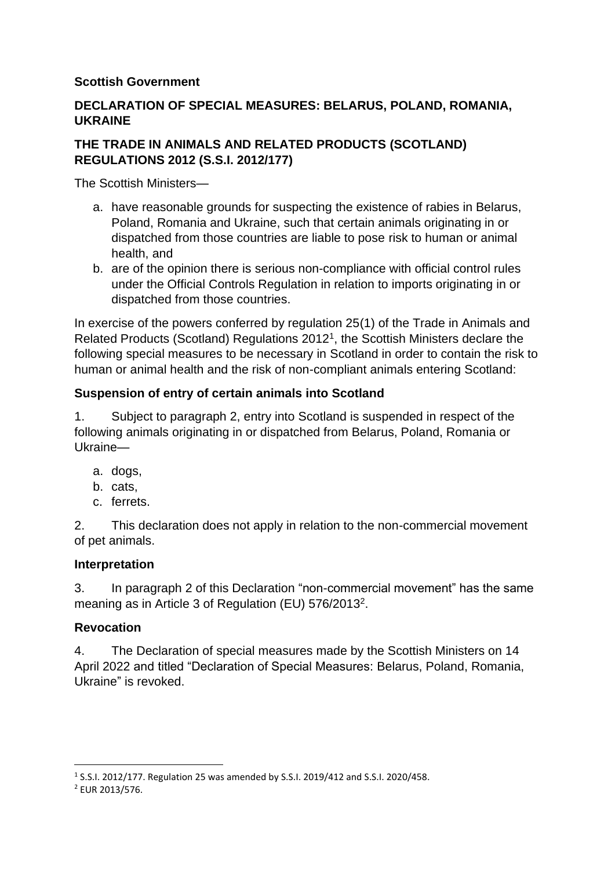# **Scottish Government**

# **DECLARATION OF SPECIAL MEASURES: BELARUS, POLAND, ROMANIA, UKRAINE**

# **THE TRADE IN ANIMALS AND RELATED PRODUCTS (SCOTLAND) REGULATIONS 2012 (S.S.I. 2012/177)**

The Scottish Ministers—

- a. have reasonable grounds for suspecting the existence of rabies in Belarus, Poland, Romania and Ukraine, such that certain animals originating in or dispatched from those countries are liable to pose risk to human or animal health, and
- b. are of the opinion there is serious non-compliance with official control rules under the Official Controls Regulation in relation to imports originating in or dispatched from those countries.

In exercise of the powers conferred by regulation 25(1) of the Trade in Animals and Related Products (Scotland) Regulations 2012<sup>1</sup> , the Scottish Ministers declare the following special measures to be necessary in Scotland in order to contain the risk to human or animal health and the risk of non-compliant animals entering Scotland:

# **Suspension of entry of certain animals into Scotland**

1. Subject to paragraph 2, entry into Scotland is suspended in respect of the following animals originating in or dispatched from Belarus, Poland, Romania or Ukraine—

- a. dogs,
- b. cats,
- c. ferrets.

2. This declaration does not apply in relation to the non-commercial movement of pet animals.

#### **Interpretation**

3. In paragraph 2 of this Declaration "non-commercial movement" has the same meaning as in Article 3 of Regulation (EU) 576/2013<sup>2</sup>.

#### **Revocation**

4. The Declaration of special measures made by the Scottish Ministers on 14 April 2022 and titled "Declaration of Special Measures: Belarus, Poland, Romania, Ukraine" is revoked.

<sup>1</sup> S.S.I. 2012/177. Regulation 25 was amended by S.S.I. 2019/412 and S.S.I. 2020/458.

<sup>2</sup> EUR 2013/576.